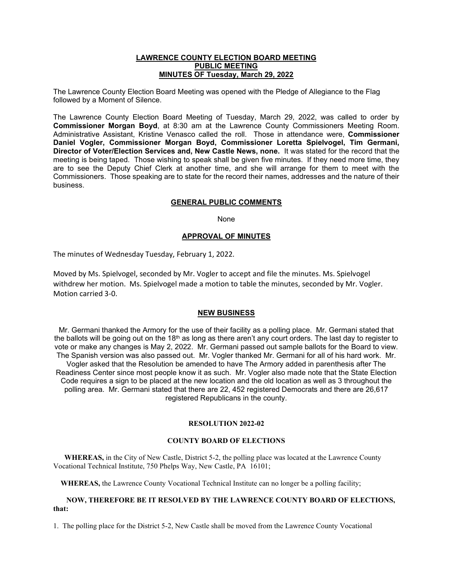#### **LAWRENCE COUNTY ELECTION BOARD MEETING PUBLIC MEETING MINUTES OF Tuesday, March 29, 2022**

The Lawrence County Election Board Meeting was opened with the Pledge of Allegiance to the Flag followed by a Moment of Silence.

The Lawrence County Election Board Meeting of Tuesday, March 29, 2022, was called to order by **Commissioner Morgan Boyd**, at 8:30 am at the Lawrence County Commissioners Meeting Room. Administrative Assistant, Kristine Venasco called the roll. Those in attendance were, **Commissioner Daniel Vogler, Commissioner Morgan Boyd, Commissioner Loretta Spielvogel, Tim Germani, Director of Voter/Election Services and, New Castle News, none.** It was stated for the record that the meeting is being taped. Those wishing to speak shall be given five minutes. If they need more time, they are to see the Deputy Chief Clerk at another time, and she will arrange for them to meet with the Commissioners. Those speaking are to state for the record their names, addresses and the nature of their business.

## **GENERAL PUBLIC COMMENTS**

None

## **APPROVAL OF MINUTES**

The minutes of Wednesday Tuesday, February 1, 2022.

Moved by Ms. Spielvogel, seconded by Mr. Vogler to accept and file the minutes. Ms. Spielvogel withdrew her motion. Ms. Spielvogel made a motion to table the minutes, seconded by Mr. Vogler. Motion carried 3-0.

#### **NEW BUSINESS**

Mr. Germani thanked the Armory for the use of their facility as a polling place. Mr. Germani stated that the ballots will be going out on the 18<sup>th</sup> as long as there aren't any court orders. The last day to register to vote or make any changes is May 2, 2022. Mr. Germani passed out sample ballots for the Board to view. The Spanish version was also passed out. Mr. Vogler thanked Mr. Germani for all of his hard work. Mr. Vogler asked that the Resolution be amended to have The Armory added in parenthesis after The Readiness Center since most people know it as such. Mr. Vogler also made note that the State Election Code requires a sign to be placed at the new location and the old location as well as 3 throughout the polling area. Mr. Germani stated that there are 22, 452 registered Democrats and there are 26,617 registered Republicans in the county.

#### **RESOLUTION 2022-02**

# **COUNTY BOARD OF ELECTIONS**

 **WHEREAS,** in the City of New Castle, District 5-2, the polling place was located at the Lawrence County Vocational Technical Institute, 750 Phelps Way, New Castle, PA 16101;

 **WHEREAS,** the Lawrence County Vocational Technical Institute can no longer be a polling facility;

### **NOW, THEREFORE BE IT RESOLVED BY THE LAWRENCE COUNTY BOARD OF ELECTIONS, that:**

1. The polling place for the District 5-2, New Castle shall be moved from the Lawrence County Vocational